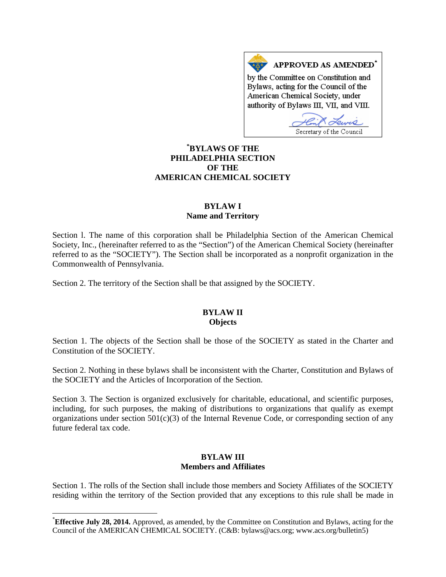APPROVED AS AMENDED\* by the Committee on Constitution and Bylaws, acting for the Council of the American Chemical Society, under authority of Bylaws III, VII, and VIII.

Secretary of the Council

## **[\\*](#page-0-0) BYLAWS OF THE PHILADELPHIA SECTION OF THE AMERICAN CHEMICAL SOCIETY**

### **BYLAW I Name and Territory**

Section l. The name of this corporation shall be Philadelphia Section of the American Chemical Society, Inc., (hereinafter referred to as the "Section") of the American Chemical Society (hereinafter referred to as the "SOCIETY"). The Section shall be incorporated as a nonprofit organization in the Commonwealth of Pennsylvania.

Section 2. The territory of the Section shall be that assigned by the SOCIETY.

### **BYLAW II Objects**

Section 1. The objects of the Section shall be those of the SOCIETY as stated in the Charter and Constitution of the SOCIETY.

Section 2. Nothing in these bylaws shall be inconsistent with the Charter, Constitution and Bylaws of the SOCIETY and the Articles of Incorporation of the Section.

Section 3. The Section is organized exclusively for charitable, educational, and scientific purposes, including, for such purposes, the making of distributions to organizations that qualify as exempt organizations under section  $501(c)(3)$  of the Internal Revenue Code, or corresponding section of any future federal tax code.

## **BYLAW III Members and Affiliates**

Section 1. The rolls of the Section shall include those members and Society Affiliates of the SOCIETY residing within the territory of the Section provided that any exceptions to this rule shall be made in

<span id="page-0-0"></span> <sup>\*</sup> **Effective July 28, 2014.** Approved, as amended, by the Committee on Constitution and Bylaws, acting for the Council of the AMERICAN CHEMICAL SOCIETY. (C&B: bylaws@acs.org; www.acs.org/bulletin5)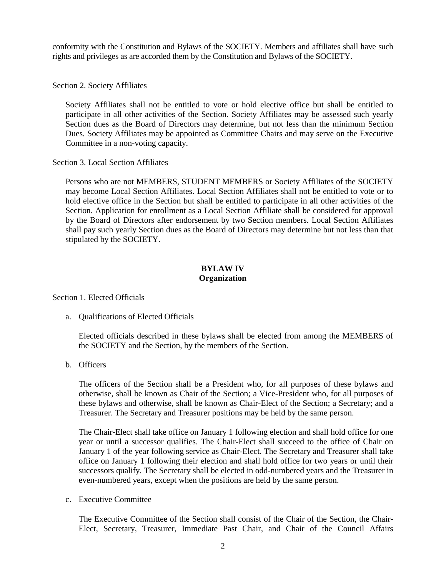conformity with the Constitution and Bylaws of the SOCIETY. Members and affiliates shall have such rights and privileges as are accorded them by the Constitution and Bylaws of the SOCIETY.

Section 2. Society Affiliates

Society Affiliates shall not be entitled to vote or hold elective office but shall be entitled to participate in all other activities of the Section. Society Affiliates may be assessed such yearly Section dues as the Board of Directors may determine, but not less than the minimum Section Dues. Society Affiliates may be appointed as Committee Chairs and may serve on the Executive Committee in a non-voting capacity.

Section 3. Local Section Affiliates

Persons who are not MEMBERS, STUDENT MEMBERS or Society Affiliates of the SOCIETY may become Local Section Affiliates. Local Section Affiliates shall not be entitled to vote or to hold elective office in the Section but shall be entitled to participate in all other activities of the Section. Application for enrollment as a Local Section Affiliate shall be considered for approval by the Board of Directors after endorsement by two Section members. Local Section Affiliates shall pay such yearly Section dues as the Board of Directors may determine but not less than that stipulated by the SOCIETY.

### **BYLAW IV Organization**

Section 1. Elected Officials

a. Qualifications of Elected Officials

Elected officials described in these bylaws shall be elected from among the MEMBERS of the SOCIETY and the Section, by the members of the Section.

b. Officers

The officers of the Section shall be a President who, for all purposes of these bylaws and otherwise, shall be known as Chair of the Section; a Vice-President who, for all purposes of these bylaws and otherwise, shall be known as Chair-Elect of the Section; a Secretary; and a Treasurer. The Secretary and Treasurer positions may be held by the same person.

The Chair-Elect shall take office on January 1 following election and shall hold office for one year or until a successor qualifies. The Chair-Elect shall succeed to the office of Chair on January 1 of the year following service as Chair-Elect. The Secretary and Treasurer shall take office on January 1 following their election and shall hold office for two years or until their successors qualify. The Secretary shall be elected in odd-numbered years and the Treasurer in even-numbered years, except when the positions are held by the same person.

c. Executive Committee

The Executive Committee of the Section shall consist of the Chair of the Section, the Chair-Elect, Secretary, Treasurer, Immediate Past Chair, and Chair of the Council Affairs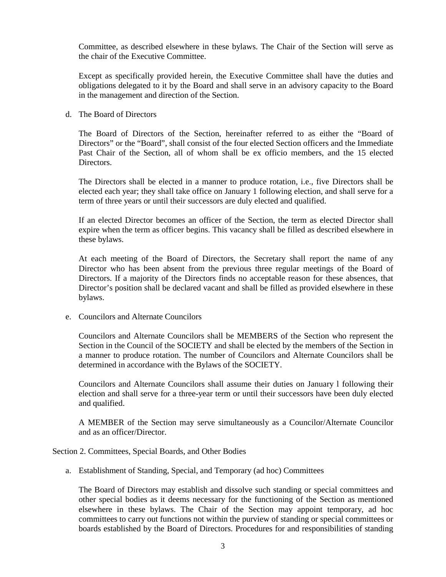Committee, as described elsewhere in these bylaws. The Chair of the Section will serve as the chair of the Executive Committee.

Except as specifically provided herein, the Executive Committee shall have the duties and obligations delegated to it by the Board and shall serve in an advisory capacity to the Board in the management and direction of the Section.

d. The Board of Directors

The Board of Directors of the Section, hereinafter referred to as either the "Board of Directors" or the "Board", shall consist of the four elected Section officers and the Immediate Past Chair of the Section, all of whom shall be ex officio members, and the 15 elected **Directors** 

The Directors shall be elected in a manner to produce rotation, i.e., five Directors shall be elected each year; they shall take office on January 1 following election, and shall serve for a term of three years or until their successors are duly elected and qualified.

If an elected Director becomes an officer of the Section, the term as elected Director shall expire when the term as officer begins. This vacancy shall be filled as described elsewhere in these bylaws.

At each meeting of the Board of Directors, the Secretary shall report the name of any Director who has been absent from the previous three regular meetings of the Board of Directors. If a majority of the Directors finds no acceptable reason for these absences, that Director's position shall be declared vacant and shall be filled as provided elsewhere in these bylaws.

e. Councilors and Alternate Councilors

Councilors and Alternate Councilors shall be MEMBERS of the Section who represent the Section in the Council of the SOCIETY and shall be elected by the members of the Section in a manner to produce rotation. The number of Councilors and Alternate Councilors shall be determined in accordance with the Bylaws of the SOCIETY.

Councilors and Alternate Councilors shall assume their duties on January l following their election and shall serve for a three-year term or until their successors have been duly elected and qualified.

A MEMBER of the Section may serve simultaneously as a Councilor/Alternate Councilor and as an officer/Director.

Section 2. Committees, Special Boards, and Other Bodies

a. Establishment of Standing, Special, and Temporary (ad hoc) Committees

The Board of Directors may establish and dissolve such standing or special committees and other special bodies as it deems necessary for the functioning of the Section as mentioned elsewhere in these bylaws. The Chair of the Section may appoint temporary, ad hoc committees to carry out functions not within the purview of standing or special committees or boards established by the Board of Directors. Procedures for and responsibilities of standing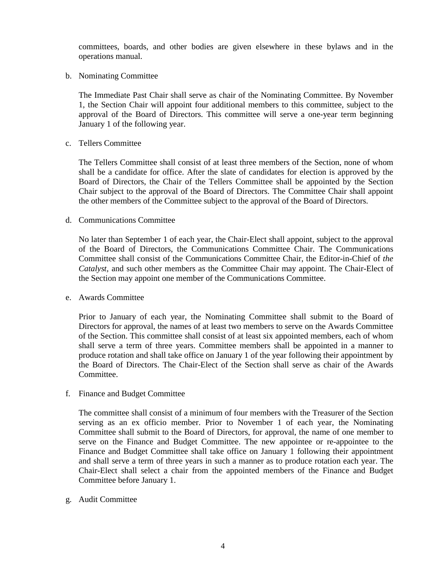committees, boards, and other bodies are given elsewhere in these bylaws and in the operations manual.

b. Nominating Committee

The Immediate Past Chair shall serve as chair of the Nominating Committee. By November 1, the Section Chair will appoint four additional members to this committee, subject to the approval of the Board of Directors. This committee will serve a one-year term beginning January 1 of the following year.

c. Tellers Committee

The Tellers Committee shall consist of at least three members of the Section, none of whom shall be a candidate for office. After the slate of candidates for election is approved by the Board of Directors, the Chair of the Tellers Committee shall be appointed by the Section Chair subject to the approval of the Board of Directors. The Committee Chair shall appoint the other members of the Committee subject to the approval of the Board of Directors.

#### d. Communications Committee

No later than September 1 of each year, the Chair-Elect shall appoint, subject to the approval of the Board of Directors, the Communications Committee Chair. The Communications Committee shall consist of the Communications Committee Chair, the Editor-in-Chief of *the Catalyst*, and such other members as the Committee Chair may appoint. The Chair-Elect of the Section may appoint one member of the Communications Committee.

#### e. Awards Committee

Prior to January of each year, the Nominating Committee shall submit to the Board of Directors for approval, the names of at least two members to serve on the Awards Committee of the Section. This committee shall consist of at least six appointed members, each of whom shall serve a term of three years. Committee members shall be appointed in a manner to produce rotation and shall take office on January 1 of the year following their appointment by the Board of Directors. The Chair-Elect of the Section shall serve as chair of the Awards Committee.

f. Finance and Budget Committee

The committee shall consist of a minimum of four members with the Treasurer of the Section serving as an ex officio member. Prior to November 1 of each year, the Nominating Committee shall submit to the Board of Directors, for approval, the name of one member to serve on the Finance and Budget Committee. The new appointee or re-appointee to the Finance and Budget Committee shall take office on January 1 following their appointment and shall serve a term of three years in such a manner as to produce rotation each year. The Chair-Elect shall select a chair from the appointed members of the Finance and Budget Committee before January 1.

g. Audit Committee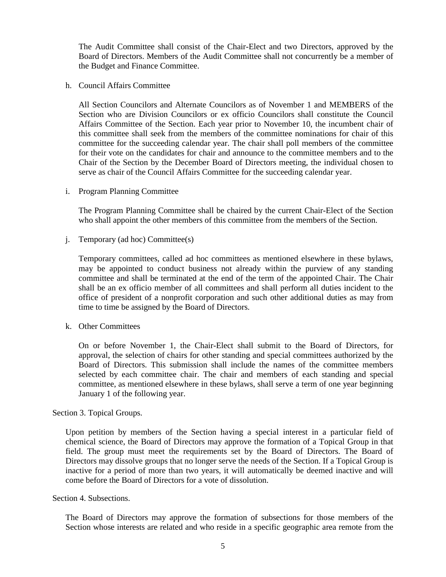The Audit Committee shall consist of the Chair-Elect and two Directors, approved by the Board of Directors. Members of the Audit Committee shall not concurrently be a member of the Budget and Finance Committee.

h. Council Affairs Committee

All Section Councilors and Alternate Councilors as of November 1 and MEMBERS of the Section who are Division Councilors or ex officio Councilors shall constitute the Council Affairs Committee of the Section. Each year prior to November 10, the incumbent chair of this committee shall seek from the members of the committee nominations for chair of this committee for the succeeding calendar year. The chair shall poll members of the committee for their vote on the candidates for chair and announce to the committee members and to the Chair of the Section by the December Board of Directors meeting, the individual chosen to serve as chair of the Council Affairs Committee for the succeeding calendar year.

i. Program Planning Committee

The Program Planning Committee shall be chaired by the current Chair-Elect of the Section who shall appoint the other members of this committee from the members of the Section.

j. Temporary (ad hoc) Committee(s)

Temporary committees, called ad hoc committees as mentioned elsewhere in these bylaws, may be appointed to conduct business not already within the purview of any standing committee and shall be terminated at the end of the term of the appointed Chair. The Chair shall be an ex officio member of all committees and shall perform all duties incident to the office of president of a nonprofit corporation and such other additional duties as may from time to time be assigned by the Board of Directors.

k. Other Committees

On or before November 1, the Chair-Elect shall submit to the Board of Directors, for approval, the selection of chairs for other standing and special committees authorized by the Board of Directors. This submission shall include the names of the committee members selected by each committee chair. The chair and members of each standing and special committee, as mentioned elsewhere in these bylaws, shall serve a term of one year beginning January 1 of the following year.

Section 3. Topical Groups.

Upon petition by members of the Section having a special interest in a particular field of chemical science, the Board of Directors may approve the formation of a Topical Group in that field. The group must meet the requirements set by the Board of Directors. The Board of Directors may dissolve groups that no longer serve the needs of the Section. If a Topical Group is inactive for a period of more than two years, it will automatically be deemed inactive and will come before the Board of Directors for a vote of dissolution.

Section 4. Subsections.

The Board of Directors may approve the formation of subsections for those members of the Section whose interests are related and who reside in a specific geographic area remote from the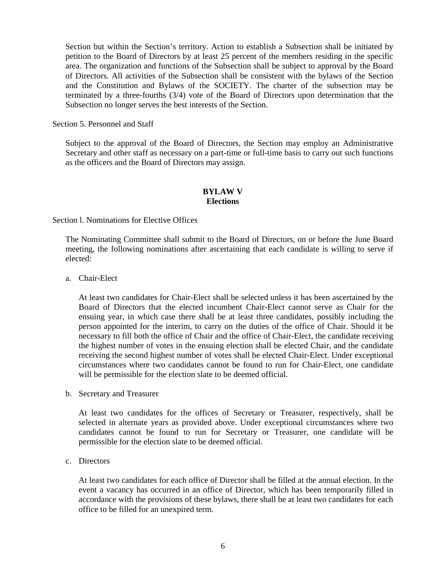Section but within the Section's territory. Action to establish a Subsection shall be initiated by petition to the Board of Directors by at least 25 percent of the members residing in the specific area. The organization and functions of the Subsection shall be subject to approval by the Board of Directors. All activities of the Subsection shall be consistent with the bylaws of the Section and the Constitution and Bylaws of the SOCIETY. The charter of the subsection may be terminated by a three-fourths (3/4) vote of the Board of Directors upon determination that the Subsection no longer serves the best interests of the Section.

Section 5. Personnel and Staff

Subject to the approval of the Board of Directors, the Section may employ an Administrative Secretary and other staff as necessary on a part-time or full-time basis to carry out such functions as the officers and the Board of Directors may assign.

#### **BYLAW V Elections**

Section l. Nominations for Elective Offices

The Nominating Committee shall submit to the Board of Directors, on or before the June Board meeting, the following nominations after ascertaining that each candidate is willing to serve if elected:

a. Chair-Elect

At least two candidates for Chair-Elect shall be selected unless it has been ascertained by the Board of Directors that the elected incumbent Chair-Elect cannot serve as Chair for the ensuing year, in which case there shall be at least three candidates, possibly including the person appointed for the interim, to carry on the duties of the office of Chair. Should it be necessary to fill both the office of Chair and the office of Chair-Elect, the candidate receiving the highest number of votes in the ensuing election shall be elected Chair, and the candidate receiving the second highest number of votes shall be elected Chair-Elect. Under exceptional circumstances where two candidates cannot be found to run for Chair-Elect, one candidate will be permissible for the election slate to be deemed official.

b. Secretary and Treasurer

At least two candidates for the offices of Secretary or Treasurer, respectively, shall be selected in alternate years as provided above. Under exceptional circumstances where two candidates cannot be found to run for Secretary or Treasurer, one candidate will be permissible for the election slate to be deemed official.

c. Directors

At least two candidates for each office of Director shall be filled at the annual election. In the event a vacancy has occurred in an office of Director, which has been temporarily filled in accordance with the provisions of these bylaws, there shall be at least two candidates for each office to be filled for an unexpired term.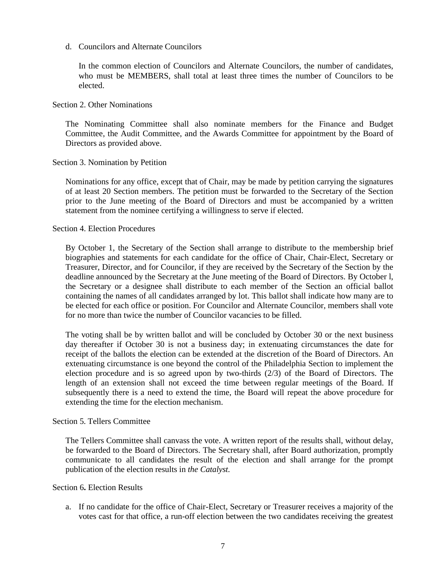d. Councilors and Alternate Councilors

In the common election of Councilors and Alternate Councilors, the number of candidates, who must be MEMBERS, shall total at least three times the number of Councilors to be elected.

Section 2. Other Nominations

The Nominating Committee shall also nominate members for the Finance and Budget Committee, the Audit Committee, and the Awards Committee for appointment by the Board of Directors as provided above.

### Section 3. Nomination by Petition

Nominations for any office, except that of Chair, may be made by petition carrying the signatures of at least 20 Section members. The petition must be forwarded to the Secretary of the Section prior to the June meeting of the Board of Directors and must be accompanied by a written statement from the nominee certifying a willingness to serve if elected.

Section 4. Election Procedures

By October 1, the Secretary of the Section shall arrange to distribute to the membership brief biographies and statements for each candidate for the office of Chair, Chair-Elect, Secretary or Treasurer, Director, and for Councilor, if they are received by the Secretary of the Section by the deadline announced by the Secretary at the June meeting of the Board of Directors. By October l, the Secretary or a designee shall distribute to each member of the Section an official ballot containing the names of all candidates arranged by lot. This ballot shall indicate how many are to be elected for each office or position. For Councilor and Alternate Councilor, members shall vote for no more than twice the number of Councilor vacancies to be filled.

The voting shall be by written ballot and will be concluded by October 30 or the next business day thereafter if October 30 is not a business day; in extenuating circumstances the date for receipt of the ballots the election can be extended at the discretion of the Board of Directors. An extenuating circumstance is one beyond the control of the Philadelphia Section to implement the election procedure and is so agreed upon by two-thirds (2/3) of the Board of Directors. The length of an extension shall not exceed the time between regular meetings of the Board. If subsequently there is a need to extend the time, the Board will repeat the above procedure for extending the time for the election mechanism.

Section 5. Tellers Committee

The Tellers Committee shall canvass the vote. A written report of the results shall, without delay, be forwarded to the Board of Directors. The Secretary shall, after Board authorization, promptly communicate to all candidates the result of the election and shall arrange for the prompt publication of the election results in *the Catalyst.*

Section 6**.** Election Results

a. If no candidate for the office of Chair-Elect, Secretary or Treasurer receives a majority of the votes cast for that office, a run-off election between the two candidates receiving the greatest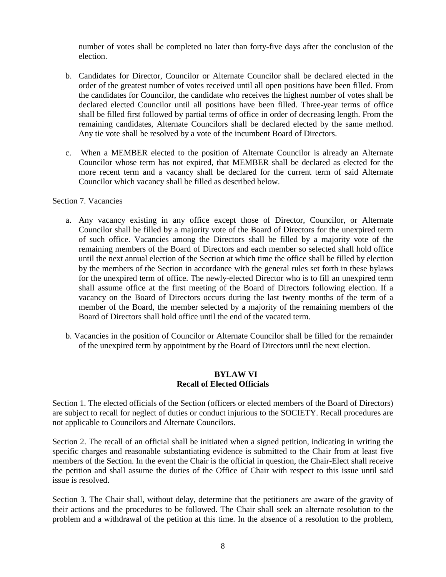number of votes shall be completed no later than forty-five days after the conclusion of the election.

- b. Candidates for Director, Councilor or Alternate Councilor shall be declared elected in the order of the greatest number of votes received until all open positions have been filled. From the candidates for Councilor, the candidate who receives the highest number of votes shall be declared elected Councilor until all positions have been filled. Three-year terms of office shall be filled first followed by partial terms of office in order of decreasing length. From the remaining candidates, Alternate Councilors shall be declared elected by the same method. Any tie vote shall be resolved by a vote of the incumbent Board of Directors.
- c. When a MEMBER elected to the position of Alternate Councilor is already an Alternate Councilor whose term has not expired, that MEMBER shall be declared as elected for the more recent term and a vacancy shall be declared for the current term of said Alternate Councilor which vacancy shall be filled as described below.

### Section 7. Vacancies

- a. Any vacancy existing in any office except those of Director, Councilor, or Alternate Councilor shall be filled by a majority vote of the Board of Directors for the unexpired term of such office. Vacancies among the Directors shall be filled by a majority vote of the remaining members of the Board of Directors and each member so selected shall hold office until the next annual election of the Section at which time the office shall be filled by election by the members of the Section in accordance with the general rules set forth in these bylaws for the unexpired term of office. The newly-elected Director who is to fill an unexpired term shall assume office at the first meeting of the Board of Directors following election. If a vacancy on the Board of Directors occurs during the last twenty months of the term of a member of the Board, the member selected by a majority of the remaining members of the Board of Directors shall hold office until the end of the vacated term.
- b. Vacancies in the position of Councilor or Alternate Councilor shall be filled for the remainder of the unexpired term by appointment by the Board of Directors until the next election.

### **BYLAW VI Recall of Elected Officials**

Section 1. The elected officials of the Section (officers or elected members of the Board of Directors) are subject to recall for neglect of duties or conduct injurious to the SOCIETY. Recall procedures are not applicable to Councilors and Alternate Councilors.

Section 2. The recall of an official shall be initiated when a signed petition, indicating in writing the specific charges and reasonable substantiating evidence is submitted to the Chair from at least five members of the Section. In the event the Chair is the official in question, the Chair-Elect shall receive the petition and shall assume the duties of the Office of Chair with respect to this issue until said issue is resolved.

Section 3. The Chair shall, without delay, determine that the petitioners are aware of the gravity of their actions and the procedures to be followed. The Chair shall seek an alternate resolution to the problem and a withdrawal of the petition at this time. In the absence of a resolution to the problem,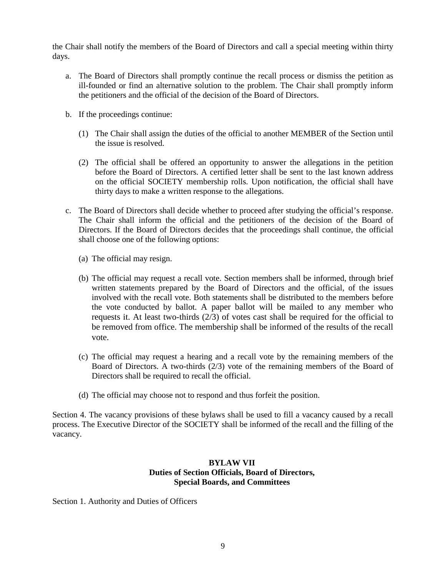the Chair shall notify the members of the Board of Directors and call a special meeting within thirty days.

- a. The Board of Directors shall promptly continue the recall process or dismiss the petition as ill-founded or find an alternative solution to the problem. The Chair shall promptly inform the petitioners and the official of the decision of the Board of Directors.
- b. If the proceedings continue:
	- (1) The Chair shall assign the duties of the official to another MEMBER of the Section until the issue is resolved.
	- (2) The official shall be offered an opportunity to answer the allegations in the petition before the Board of Directors. A certified letter shall be sent to the last known address on the official SOCIETY membership rolls. Upon notification, the official shall have thirty days to make a written response to the allegations.
- c. The Board of Directors shall decide whether to proceed after studying the official's response. The Chair shall inform the official and the petitioners of the decision of the Board of Directors. If the Board of Directors decides that the proceedings shall continue, the official shall choose one of the following options:
	- (a) The official may resign.
	- (b) The official may request a recall vote. Section members shall be informed, through brief written statements prepared by the Board of Directors and the official, of the issues involved with the recall vote. Both statements shall be distributed to the members before the vote conducted by ballot. A paper ballot will be mailed to any member who requests it. At least two-thirds (2/3) of votes cast shall be required for the official to be removed from office. The membership shall be informed of the results of the recall vote.
	- (c) The official may request a hearing and a recall vote by the remaining members of the Board of Directors. A two-thirds (2/3) vote of the remaining members of the Board of Directors shall be required to recall the official.
	- (d) The official may choose not to respond and thus forfeit the position.

Section 4. The vacancy provisions of these bylaws shall be used to fill a vacancy caused by a recall process. The Executive Director of the SOCIETY shall be informed of the recall and the filling of the vacancy.

## **BYLAW VII Duties of Section Officials, Board of Directors, Special Boards, and Committees**

Section 1. Authority and Duties of Officers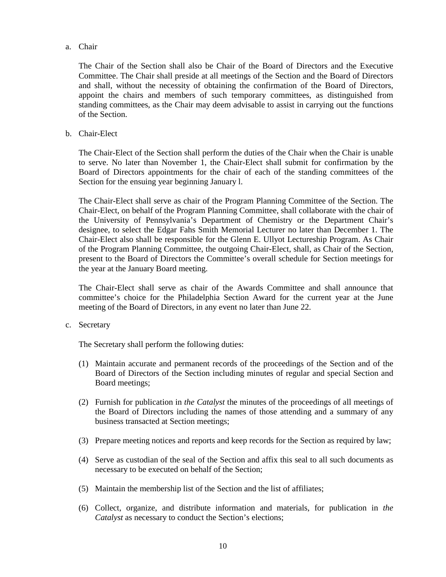#### a. Chair

The Chair of the Section shall also be Chair of the Board of Directors and the Executive Committee. The Chair shall preside at all meetings of the Section and the Board of Directors and shall, without the necessity of obtaining the confirmation of the Board of Directors, appoint the chairs and members of such temporary committees, as distinguished from standing committees, as the Chair may deem advisable to assist in carrying out the functions of the Section.

### b. Chair-Elect

The Chair-Elect of the Section shall perform the duties of the Chair when the Chair is unable to serve. No later than November 1, the Chair-Elect shall submit for confirmation by the Board of Directors appointments for the chair of each of the standing committees of the Section for the ensuing year beginning January l.

The Chair-Elect shall serve as chair of the Program Planning Committee of the Section. The Chair-Elect, on behalf of the Program Planning Committee, shall collaborate with the chair of the University of Pennsylvania's Department of Chemistry or the Department Chair's designee, to select the Edgar Fahs Smith Memorial Lecturer no later than December 1. The Chair-Elect also shall be responsible for the Glenn E. Ullyot Lectureship Program. As Chair of the Program Planning Committee, the outgoing Chair-Elect, shall, as Chair of the Section, present to the Board of Directors the Committee's overall schedule for Section meetings for the year at the January Board meeting.

The Chair-Elect shall serve as chair of the Awards Committee and shall announce that committee's choice for the Philadelphia Section Award for the current year at the June meeting of the Board of Directors, in any event no later than June 22.

#### c. Secretary

The Secretary shall perform the following duties:

- (1) Maintain accurate and permanent records of the proceedings of the Section and of the Board of Directors of the Section including minutes of regular and special Section and Board meetings;
- (2) Furnish for publication in *the Catalyst* the minutes of the proceedings of all meetings of the Board of Directors including the names of those attending and a summary of any business transacted at Section meetings;
- (3) Prepare meeting notices and reports and keep records for the Section as required by law;
- (4) Serve as custodian of the seal of the Section and affix this seal to all such documents as necessary to be executed on behalf of the Section;
- (5) Maintain the membership list of the Section and the list of affiliates;
- (6) Collect, organize, and distribute information and materials, for publication in *the Catalyst* as necessary to conduct the Section's elections;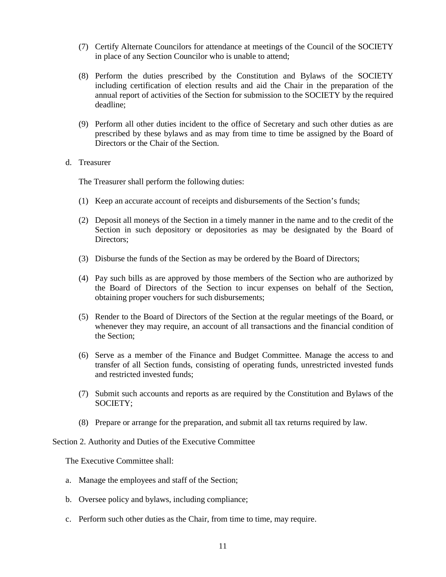- (7) Certify Alternate Councilors for attendance at meetings of the Council of the SOCIETY in place of any Section Councilor who is unable to attend;
- (8) Perform the duties prescribed by the Constitution and Bylaws of the SOCIETY including certification of election results and aid the Chair in the preparation of the annual report of activities of the Section for submission to the SOCIETY by the required deadline;
- (9) Perform all other duties incident to the office of Secretary and such other duties as are prescribed by these bylaws and as may from time to time be assigned by the Board of Directors or the Chair of the Section.
- d. Treasurer

The Treasurer shall perform the following duties:

- (1) Keep an accurate account of receipts and disbursements of the Section's funds;
- (2) Deposit all moneys of the Section in a timely manner in the name and to the credit of the Section in such depository or depositories as may be designated by the Board of Directors:
- (3) Disburse the funds of the Section as may be ordered by the Board of Directors;
- (4) Pay such bills as are approved by those members of the Section who are authorized by the Board of Directors of the Section to incur expenses on behalf of the Section, obtaining proper vouchers for such disbursements;
- (5) Render to the Board of Directors of the Section at the regular meetings of the Board, or whenever they may require, an account of all transactions and the financial condition of the Section;
- (6) Serve as a member of the Finance and Budget Committee. Manage the access to and transfer of all Section funds, consisting of operating funds, unrestricted invested funds and restricted invested funds;
- (7) Submit such accounts and reports as are required by the Constitution and Bylaws of the SOCIETY;
- (8) Prepare or arrange for the preparation, and submit all tax returns required by law.

Section 2. Authority and Duties of the Executive Committee

The Executive Committee shall:

- a. Manage the employees and staff of the Section;
- b. Oversee policy and bylaws, including compliance;
- c. Perform such other duties as the Chair, from time to time, may require.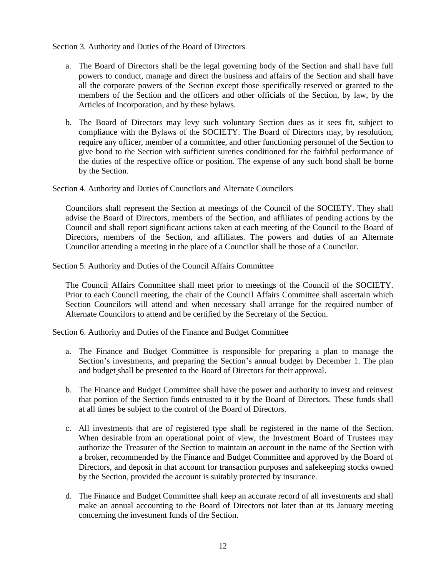Section 3. Authority and Duties of the Board of Directors

- a. The Board of Directors shall be the legal governing body of the Section and shall have full powers to conduct, manage and direct the business and affairs of the Section and shall have all the corporate powers of the Section except those specifically reserved or granted to the members of the Section and the officers and other officials of the Section, by law, by the Articles of Incorporation, and by these bylaws.
- b. The Board of Directors may levy such voluntary Section dues as it sees fit, subject to compliance with the Bylaws of the SOCIETY. The Board of Directors may, by resolution, require any officer, member of a committee, and other functioning personnel of the Section to give bond to the Section with sufficient sureties conditioned for the faithful performance of the duties of the respective office or position. The expense of any such bond shall be borne by the Section.

Section 4. Authority and Duties of Councilors and Alternate Councilors

Councilors shall represent the Section at meetings of the Council of the SOCIETY. They shall advise the Board of Directors, members of the Section, and affiliates of pending actions by the Council and shall report significant actions taken at each meeting of the Council to the Board of Directors, members of the Section, and affiliates. The powers and duties of an Alternate Councilor attending a meeting in the place of a Councilor shall be those of a Councilor.

Section 5. Authority and Duties of the Council Affairs Committee

The Council Affairs Committee shall meet prior to meetings of the Council of the SOCIETY. Prior to each Council meeting, the chair of the Council Affairs Committee shall ascertain which Section Councilors will attend and when necessary shall arrange for the required number of Alternate Councilors to attend and be certified by the Secretary of the Section.

Section 6. Authority and Duties of the Finance and Budget Committee

- a. The Finance and Budget Committee is responsible for preparing a plan to manage the Section's investments, and preparing the Section's annual budget by December 1. The plan and budget shall be presented to the Board of Directors for their approval.
- b. The Finance and Budget Committee shall have the power and authority to invest and reinvest that portion of the Section funds entrusted to it by the Board of Directors. These funds shall at all times be subject to the control of the Board of Directors.
- c. All investments that are of registered type shall be registered in the name of the Section. When desirable from an operational point of view, the Investment Board of Trustees may authorize the Treasurer of the Section to maintain an account in the name of the Section with a broker, recommended by the Finance and Budget Committee and approved by the Board of Directors, and deposit in that account for transaction purposes and safekeeping stocks owned by the Section, provided the account is suitably protected by insurance.
- d. The Finance and Budget Committee shall keep an accurate record of all investments and shall make an annual accounting to the Board of Directors not later than at its January meeting concerning the investment funds of the Section.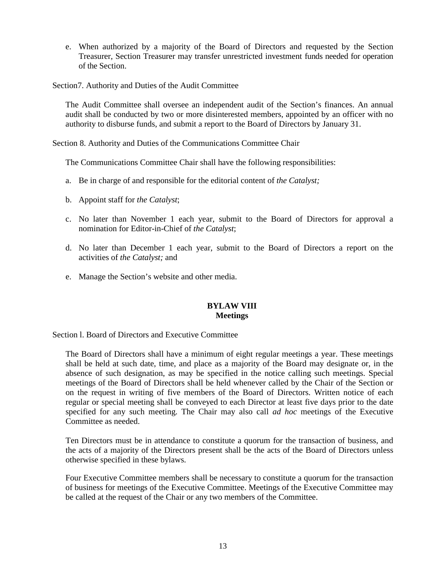- e. When authorized by a majority of the Board of Directors and requested by the Section Treasurer, Section Treasurer may transfer unrestricted investment funds needed for operation of the Section.
- Section7. Authority and Duties of the Audit Committee

The Audit Committee shall oversee an independent audit of the Section's finances. An annual audit shall be conducted by two or more disinterested members, appointed by an officer with no authority to disburse funds, and submit a report to the Board of Directors by January 31.

Section 8. Authority and Duties of the Communications Committee Chair

The Communications Committee Chair shall have the following responsibilities:

- a. Be in charge of and responsible for the editorial content of *the Catalyst;*
- b. Appoint staff for *the Catalyst*;
- c. No later than November 1 each year, submit to the Board of Directors for approval a nomination for Editor-in-Chief of *the Catalyst*;
- d. No later than December 1 each year, submit to the Board of Directors a report on the activities of *the Catalyst;* and
- e. Manage the Section's website and other media.

### **BYLAW VIII Meetings**

Section l. Board of Directors and Executive Committee

The Board of Directors shall have a minimum of eight regular meetings a year. These meetings shall be held at such date, time, and place as a majority of the Board may designate or, in the absence of such designation, as may be specified in the notice calling such meetings. Special meetings of the Board of Directors shall be held whenever called by the Chair of the Section or on the request in writing of five members of the Board of Directors. Written notice of each regular or special meeting shall be conveyed to each Director at least five days prior to the date specified for any such meeting. The Chair may also call *ad hoc* meetings of the Executive Committee as needed.

Ten Directors must be in attendance to constitute a quorum for the transaction of business, and the acts of a majority of the Directors present shall be the acts of the Board of Directors unless otherwise specified in these bylaws.

Four Executive Committee members shall be necessary to constitute a quorum for the transaction of business for meetings of the Executive Committee. Meetings of the Executive Committee may be called at the request of the Chair or any two members of the Committee.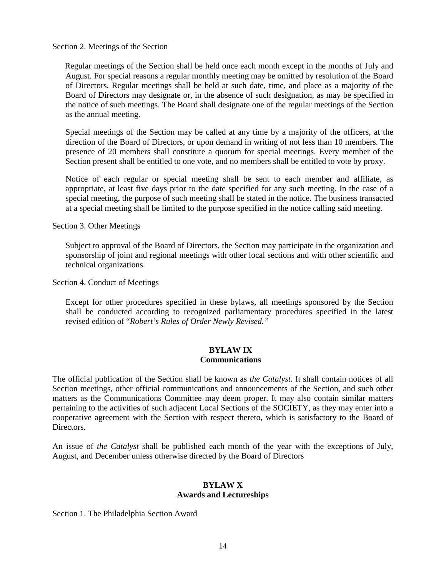Section 2. Meetings of the Section

Regular meetings of the Section shall be held once each month except in the months of July and August. For special reasons a regular monthly meeting may be omitted by resolution of the Board of Directors. Regular meetings shall be held at such date, time, and place as a majority of the Board of Directors may designate or, in the absence of such designation, as may be specified in the notice of such meetings. The Board shall designate one of the regular meetings of the Section as the annual meeting.

Special meetings of the Section may be called at any time by a majority of the officers, at the direction of the Board of Directors, or upon demand in writing of not less than 10 members. The presence of 20 members shall constitute a quorum for special meetings. Every member of the Section present shall be entitled to one vote, and no members shall be entitled to vote by proxy.

Notice of each regular or special meeting shall be sent to each member and affiliate, as appropriate, at least five days prior to the date specified for any such meeting. In the case of a special meeting, the purpose of such meeting shall be stated in the notice. The business transacted at a special meeting shall be limited to the purpose specified in the notice calling said meeting.

Section 3. Other Meetings

Subject to approval of the Board of Directors, the Section may participate in the organization and sponsorship of joint and regional meetings with other local sections and with other scientific and technical organizations.

Section 4. Conduct of Meetings

Except for other procedures specified in these bylaws, all meetings sponsored by the Section shall be conducted according to recognized parliamentary procedures specified in the latest revised edition of "*Robert's Rules of Order Newly Revised."*

### **BYLAW IX Communications**

The official publication of the Section shall be known as *the Catalyst*. It shall contain notices of all Section meetings, other official communications and announcements of the Section, and such other matters as the Communications Committee may deem proper. It may also contain similar matters pertaining to the activities of such adjacent Local Sections of the SOCIETY, as they may enter into a cooperative agreement with the Section with respect thereto, which is satisfactory to the Board of Directors.

An issue of *the Catalyst* shall be published each month of the year with the exceptions of July, August, and December unless otherwise directed by the Board of Directors

### **BYLAW X Awards and Lectureships**

Section 1. The Philadelphia Section Award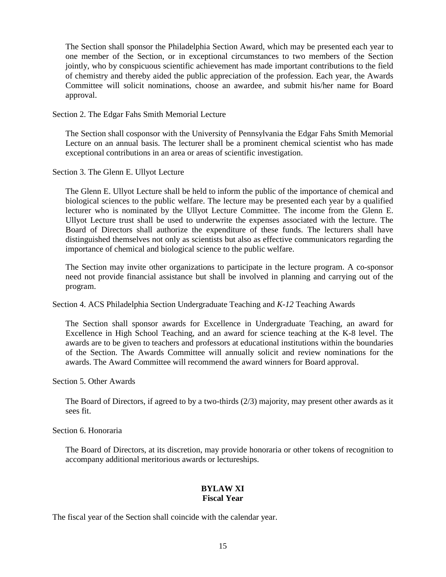The Section shall sponsor the Philadelphia Section Award, which may be presented each year to one member of the Section, or in exceptional circumstances to two members of the Section jointly, who by conspicuous scientific achievement has made important contributions to the field of chemistry and thereby aided the public appreciation of the profession. Each year, the Awards Committee will solicit nominations, choose an awardee, and submit his/her name for Board approval.

Section 2. The Edgar Fahs Smith Memorial Lecture

The Section shall cosponsor with the University of Pennsylvania the Edgar Fahs Smith Memorial Lecture on an annual basis. The lecturer shall be a prominent chemical scientist who has made exceptional contributions in an area or areas of scientific investigation.

Section 3. The Glenn E. Ullyot Lecture

The Glenn E. Ullyot Lecture shall be held to inform the public of the importance of chemical and biological sciences to the public welfare. The lecture may be presented each year by a qualified lecturer who is nominated by the Ullyot Lecture Committee. The income from the Glenn E. Ullyot Lecture trust shall be used to underwrite the expenses associated with the lecture. The Board of Directors shall authorize the expenditure of these funds. The lecturers shall have distinguished themselves not only as scientists but also as effective communicators regarding the importance of chemical and biological science to the public welfare.

The Section may invite other organizations to participate in the lecture program. A co-sponsor need not provide financial assistance but shall be involved in planning and carrying out of the program.

Section 4. ACS Philadelphia Section Undergraduate Teaching and *K-12* Teaching Awards

The Section shall sponsor awards for Excellence in Undergraduate Teaching, an award for Excellence in High School Teaching, and an award for science teaching at the K-8 level. The awards are to be given to teachers and professors at educational institutions within the boundaries of the Section. The Awards Committee will annually solicit and review nominations for the awards. The Award Committee will recommend the award winners for Board approval.

Section 5. Other Awards

The Board of Directors, if agreed to by a two-thirds (2/3) majority, may present other awards as it sees fit.

Section 6. Honoraria

The Board of Directors, at its discretion, may provide honoraria or other tokens of recognition to accompany additional meritorious awards or lectureships.

### **BYLAW XI Fiscal Year**

The fiscal year of the Section shall coincide with the calendar year.